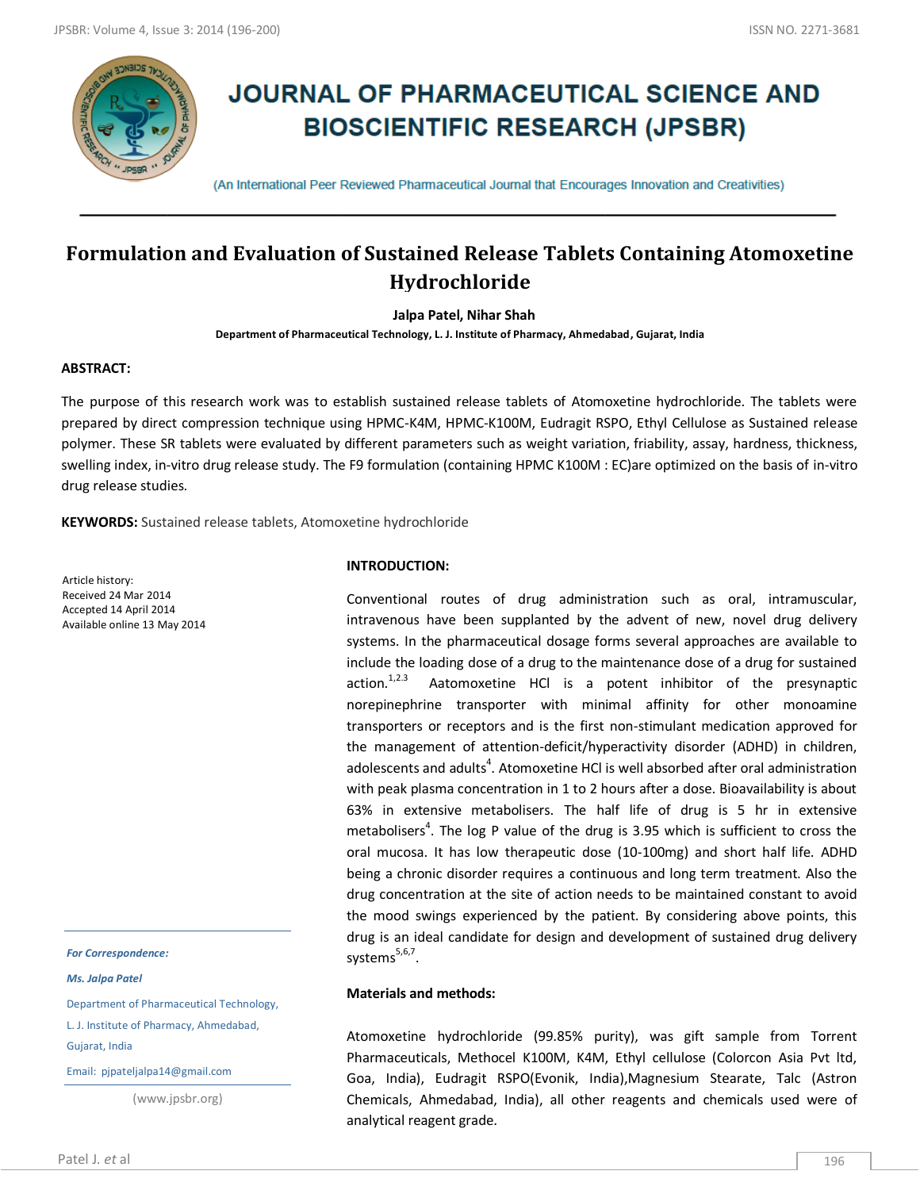

# **JOURNAL OF PHARMACEUTICAL SCIENCE AND BIOSCIENTIFIC RESEARCH (JPSBR)**

(An International Peer Reviewed Pharmaceutical Journal that Encourages Innovation and Creativities)

## **Formulation and Evaluation of Sustained Release Tablets Containing Atomoxetine Hydrochloride**

**Jalpa Patel, Nihar Shah**

**Department of Pharmaceutical Technology, L. J. Institute of Pharmacy, Ahmedabad, Gujarat, India**

## **ABSTRACT:**

The purpose of this research work was to establish sustained release tablets of Atomoxetine hydrochloride. The tablets were prepared by direct compression technique using HPMC-K4M, HPMC-K100M, Eudragit RSPO, Ethyl Cellulose as Sustained release polymer. These SR tablets were evaluated by different parameters such as weight variation, friability, assay, hardness, thickness, swelling index, in-vitro drug release study. The F9 formulation (containing HPMC K100M : EC)are optimized on the basis of in-vitro drug release studies.

**KEYWORDS:** Sustained release tablets, Atomoxetine hydrochloride

Article history: Received 24 Mar 2014 Accepted 14 April 2014 Available online 13 May 2014

*For Correspondence:*

*Ms. Jalpa Patel*

Department of Pharmaceutical Technology, L. J. Institute of Pharmacy, Ahmedabad,

Gujarat, India

Email: pjpateljalpa14@gmail.com

(www.jpsbr.org)

#### **INTRODUCTION:**

Conventional routes of drug administration such as oral, intramuscular, intravenous have been supplanted by the advent of new, novel drug delivery systems. In the pharmaceutical dosage forms several approaches are available to include the loading dose of a drug to the maintenance dose of a drug for sustained  $action.<sup>1,2.3</sup>$  Aatomoxetine HCl is a potent inhibitor of the presynaptic norepinephrine transporter with minimal affinity for other monoamine transporters or receptors and is the first non-stimulant medication approved for the management of attention-deficit/hyperactivity disorder (ADHD) in children, adolescents and adults<sup>4</sup>. Atomoxetine HCl is well absorbed after oral administration with peak plasma concentration in 1 to 2 hours after a dose. Bioavailability is about 63% in extensive metabolisers. The half life of drug is 5 hr in extensive metabolisers<sup>4</sup>. The log P value of the drug is 3.95 which is sufficient to cross the oral mucosa. It has low therapeutic dose (10-100mg) and short half life. ADHD being a chronic disorder requires a continuous and long term treatment. Also the drug concentration at the site of action needs to be maintained constant to avoid the mood swings experienced by the patient. By considering above points, this drug is an ideal candidate for design and development of sustained drug delivery systems<sup>5,6,7</sup>.

## **Materials and methods:**

Atomoxetine hydrochloride (99.85% purity), was gift sample from Torrent Pharmaceuticals, Methocel K100M, K4M, Ethyl cellulose (Colorcon Asia Pvt ltd, Goa, India), Eudragit RSPO(Evonik, India),Magnesium Stearate, Talc (Astron Chemicals, Ahmedabad, India), all other reagents and chemicals used were of analytical reagent grade.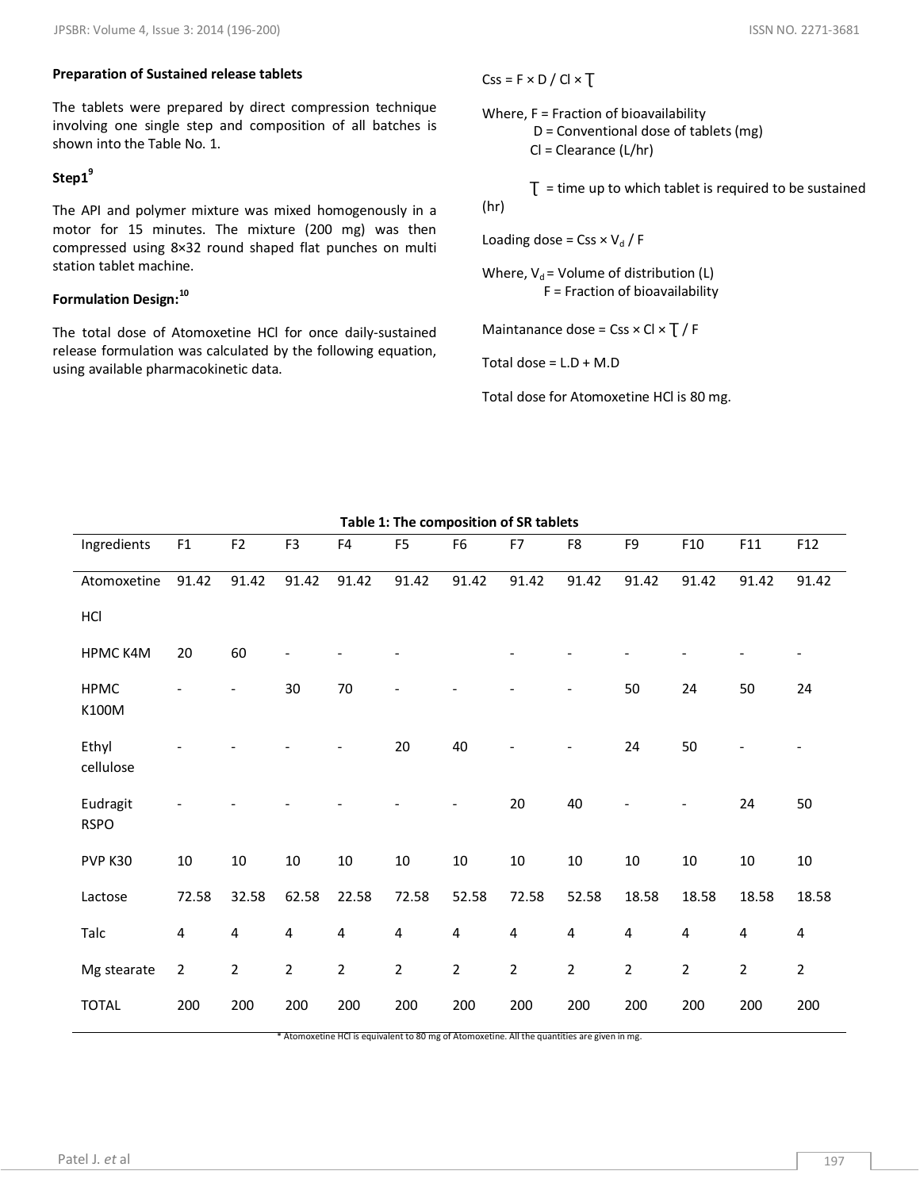#### **Preparation of Sustained release tablets**

The tablets were prepared by direct compression technique involving one single step and composition of all batches is shown into the Table No. 1.

## **Step1<sup>9</sup>**

The API and polymer mixture was mixed homogenously in a motor for 15 minutes. The mixture (200 mg) was then compressed using 8×32 round shaped flat punches on multi station tablet machine.

## **Formulation Design:<sup>10</sup>**

The total dose of Atomoxetine HCl for once daily-sustained release formulation was calculated by the following equation, using available pharmacokinetic data.

 $Css = F \times D / Cl \times T$ 

Where, F = Fraction of bioavailability

 D = Conventional dose of tablets (mg) Cl = Clearance (L/hr)

 $T =$  time up to which tablet is required to be sustained (hr)

Loading dose =  $Css \times V_d / F$ 

Where,  $V_d$  = Volume of distribution (L) F = Fraction of bioavailability

Maintanance dose =  $Cos \times Cl \times T / F$ 

Total dose =  $L.D + M.D$ 

Total dose for Atomoxetine HCl is 80 mg.

| Ingredients             | F1             | F <sub>2</sub>          | F <sub>3</sub>          | F4                                                                                                  | F <sub>5</sub> | F <sub>6</sub>          | F7                      | F8             | F9             | F <sub>10</sub>         | F11            | F12            |
|-------------------------|----------------|-------------------------|-------------------------|-----------------------------------------------------------------------------------------------------|----------------|-------------------------|-------------------------|----------------|----------------|-------------------------|----------------|----------------|
| Atomoxetine             | 91.42          | 91.42                   | 91.42                   | 91.42                                                                                               | 91.42          | 91.42                   | 91.42                   | 91.42          | 91.42          | 91.42                   | 91.42          | 91.42          |
| HCI                     |                |                         |                         |                                                                                                     |                |                         |                         |                |                |                         |                |                |
| HPMC K4M                | 20             | 60                      |                         |                                                                                                     |                |                         |                         |                |                |                         |                |                |
| <b>HPMC</b><br>K100M    |                |                         | 30                      | $70\,$                                                                                              |                |                         |                         |                | 50             | 24                      | 50             | 24             |
| Ethyl<br>cellulose      |                |                         |                         |                                                                                                     | 20             | 40                      |                         |                | 24             | 50                      |                |                |
| Eudragit<br><b>RSPO</b> |                |                         |                         |                                                                                                     |                |                         | 20                      | 40             |                |                         | 24             | 50             |
| PVP K30                 | $10\,$         | $10\,$                  | 10                      | $10\,$                                                                                              | $10\,$         | $10\,$                  | $10\,$                  | $10\,$         | $10\,$         | $10\,$                  | $10\,$         | 10             |
| Lactose                 | 72.58          | 32.58                   | 62.58                   | 22.58                                                                                               | 72.58          | 52.58                   | 72.58                   | 52.58          | 18.58          | 18.58                   | 18.58          | 18.58          |
| Talc                    | $\pmb{4}$      | $\overline{\mathbf{4}}$ | $\overline{\mathbf{4}}$ | 4                                                                                                   | $\overline{4}$ | $\overline{\mathbf{4}}$ | $\overline{\mathbf{4}}$ | $\pmb{4}$      | $\overline{4}$ | $\overline{\mathbf{4}}$ | $\overline{4}$ | 4              |
| Mg stearate             | $\overline{2}$ | $\overline{2}$          | $\overline{2}$          | $\overline{2}$                                                                                      | $\overline{2}$ | $\overline{2}$          | $\overline{2}$          | $\overline{2}$ | $\overline{2}$ | $\overline{2}$          | $\overline{2}$ | $\overline{2}$ |
| <b>TOTAL</b>            | 200            | 200                     | 200                     | 200<br>* Atomoxetine HCI is equivalent to 80 mg of Atomoxetine. All the quantities are given in mg. | 200            | 200                     | 200                     | 200            | 200            | 200                     | 200            | 200            |

**Table 1: The composition of SR tablets**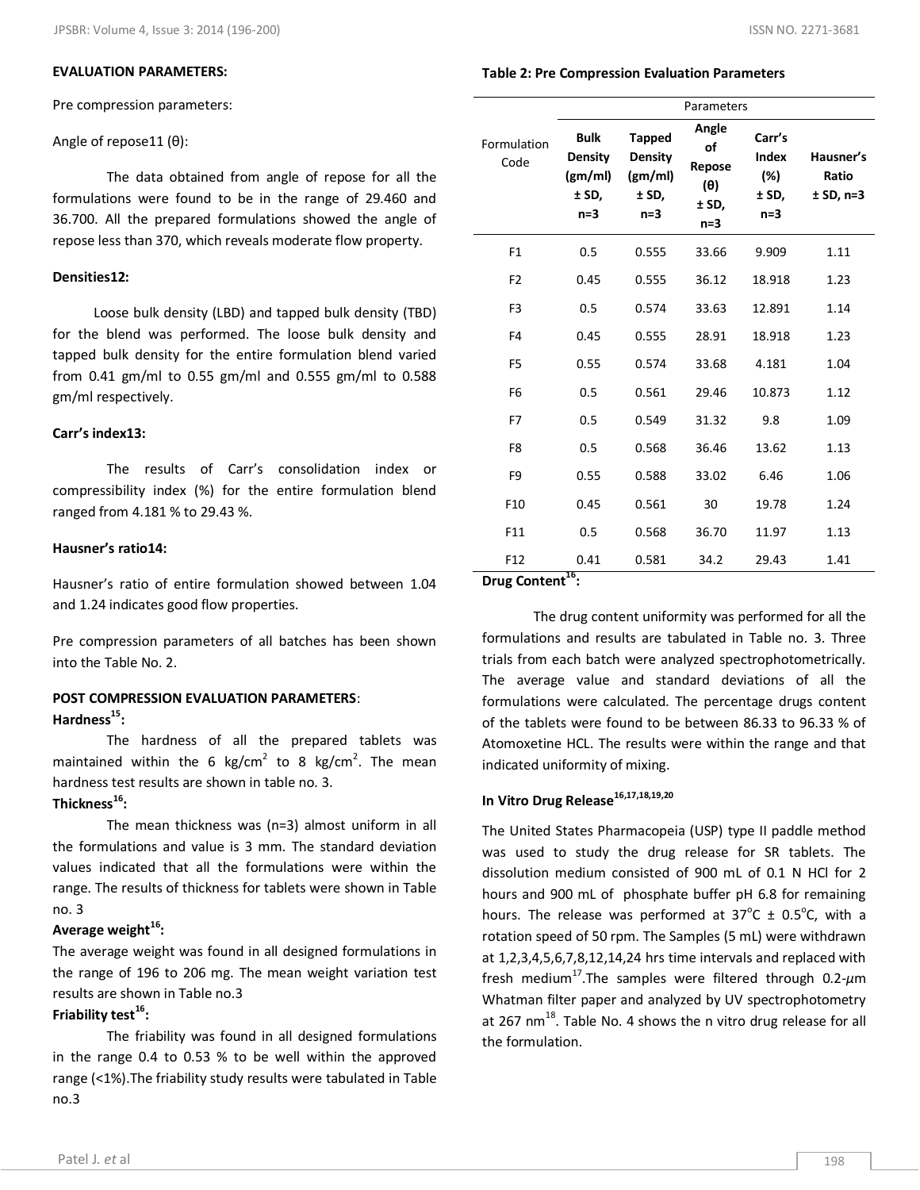## **EVALUATION PARAMETERS:**

Pre compression parameters:

#### Angle of repose11 (θ):

The data obtained from angle of repose for all the formulations were found to be in the range of 29.460 and 36.700. All the prepared formulations showed the angle of repose less than 370, which reveals moderate flow property.

#### **Densities12:**

 Loose bulk density (LBD) and tapped bulk density (TBD) for the blend was performed. The loose bulk density and tapped bulk density for the entire formulation blend varied from 0.41 gm/ml to 0.55 gm/ml and 0.555 gm/ml to 0.588 gm/ml respectively.

#### **Carr's index13:**

The results of Carr's consolidation index or compressibility index (%) for the entire formulation blend ranged from 4.181 % to 29.43 %.

## **Hausner's ratio14:**

Hausner's ratio of entire formulation showed between 1.04 and 1.24 indicates good flow properties.

Pre compression parameters of all batches has been shown into the Table No. 2.

## **POST COMPRESSION EVALUATION PARAMETERS**: **Hardness 15 :**

The hardness of all the prepared tablets was maintained within the 6 kg/cm<sup>2</sup> to 8 kg/cm<sup>2</sup>. The mean hardness test results are shown in table no. 3.

## **Thickness<sup>16</sup> :**

The mean thickness was (n=3) almost uniform in all the formulations and value is 3 mm. The standard deviation values indicated that all the formulations were within the range. The results of thickness for tablets were shown in Table no. 3

## **Average weight<sup>16</sup> :**

The average weight was found in all designed formulations in the range of 196 to 206 mg. The mean weight variation test results are shown in Table no.3

## **Friability test<sup>16</sup> :**

The friability was found in all designed formulations in the range 0.4 to 0.53 % to be well within the approved range (<1%).The friability study results were tabulated in Table no.3

## **Table 2: Pre Compression Evaluation Parameters**

|                     | Parameters                                                 |                                                              |                                                       |                                          |                                   |  |  |
|---------------------|------------------------------------------------------------|--------------------------------------------------------------|-------------------------------------------------------|------------------------------------------|-----------------------------------|--|--|
| Formulation<br>Code | <b>Bulk</b><br><b>Density</b><br>(gm/ml)<br>± SD,<br>$n=3$ | <b>Tapped</b><br><b>Density</b><br>(gm/ml)<br>± SD,<br>$n=3$ | Angle<br>of<br>Repose<br>$(\theta)$<br>± SD,<br>$n=3$ | Carr's<br>Index<br>(%)<br>± SD,<br>$n=3$ | Hausner's<br>Ratio<br>$± SD, n=3$ |  |  |
| F <sub>1</sub>      | 0.5                                                        | 0.555                                                        | 33.66                                                 | 9.909                                    | 1.11                              |  |  |
| F <sub>2</sub>      | 0.45                                                       | 0.555                                                        | 36.12                                                 | 18.918                                   | 1.23                              |  |  |
| F <sub>3</sub>      | 0.5                                                        | 0.574                                                        | 33.63                                                 | 12.891                                   | 1.14                              |  |  |
| F <sub>4</sub>      | 0.45                                                       | 0.555                                                        | 28.91                                                 | 18.918                                   | 1.23                              |  |  |
| F <sub>5</sub>      | 0.55                                                       | 0.574                                                        | 33.68                                                 | 4.181                                    | 1.04                              |  |  |
| F <sub>6</sub>      | 0.5                                                        | 0.561                                                        | 29.46                                                 | 10.873                                   | 1.12                              |  |  |
| F7                  | 0.5                                                        | 0.549                                                        | 31.32                                                 | 9.8                                      | 1.09                              |  |  |
| F <sub>8</sub>      | 0.5                                                        | 0.568                                                        | 36.46                                                 | 13.62                                    | 1.13                              |  |  |
| F <sub>9</sub>      | 0.55                                                       | 0.588                                                        | 33.02                                                 | 6.46                                     | 1.06                              |  |  |
| F10                 | 0.45                                                       | 0.561                                                        | 30                                                    | 19.78                                    | 1.24                              |  |  |
| F11                 | 0.5                                                        | 0.568                                                        | 36.70                                                 | 11.97                                    | 1.13                              |  |  |
| F12                 | 0.41<br>16                                                 | 0.581                                                        | 34.2                                                  | 29.43                                    | 1.41                              |  |  |

## **Drug Content<sup>16</sup> :**

The drug content uniformity was performed for all the formulations and results are tabulated in Table no. 3. Three trials from each batch were analyzed spectrophotometrically. The average value and standard deviations of all the formulations were calculated. The percentage drugs content of the tablets were found to be between 86.33 to 96.33 % of Atomoxetine HCL. The results were within the range and that indicated uniformity of mixing.

## **In Vitro Drug Release16,17,18,19,20**

The United States Pharmacopeia (USP) type II paddle method was used to study the drug release for SR tablets. The dissolution medium consisted of 900 mL of 0.1 N HCl for 2 hours and 900 mL of phosphate buffer pH 6.8 for remaining hours. The release was performed at  $37^{\circ}$ C  $\pm$  0.5 $^{\circ}$ C, with a rotation speed of 50 rpm. The Samples (5 mL) were withdrawn at 1,2,3,4,5,6,7,8,12,14,24 hrs time intervals and replaced with fresh medium<sup>17</sup>.The samples were filtered through 0.2-*µ*m Whatman filter paper and analyzed by UV spectrophotometry at 267 nm $^{18}$ . Table No. 4 shows the n vitro drug release for all the formulation.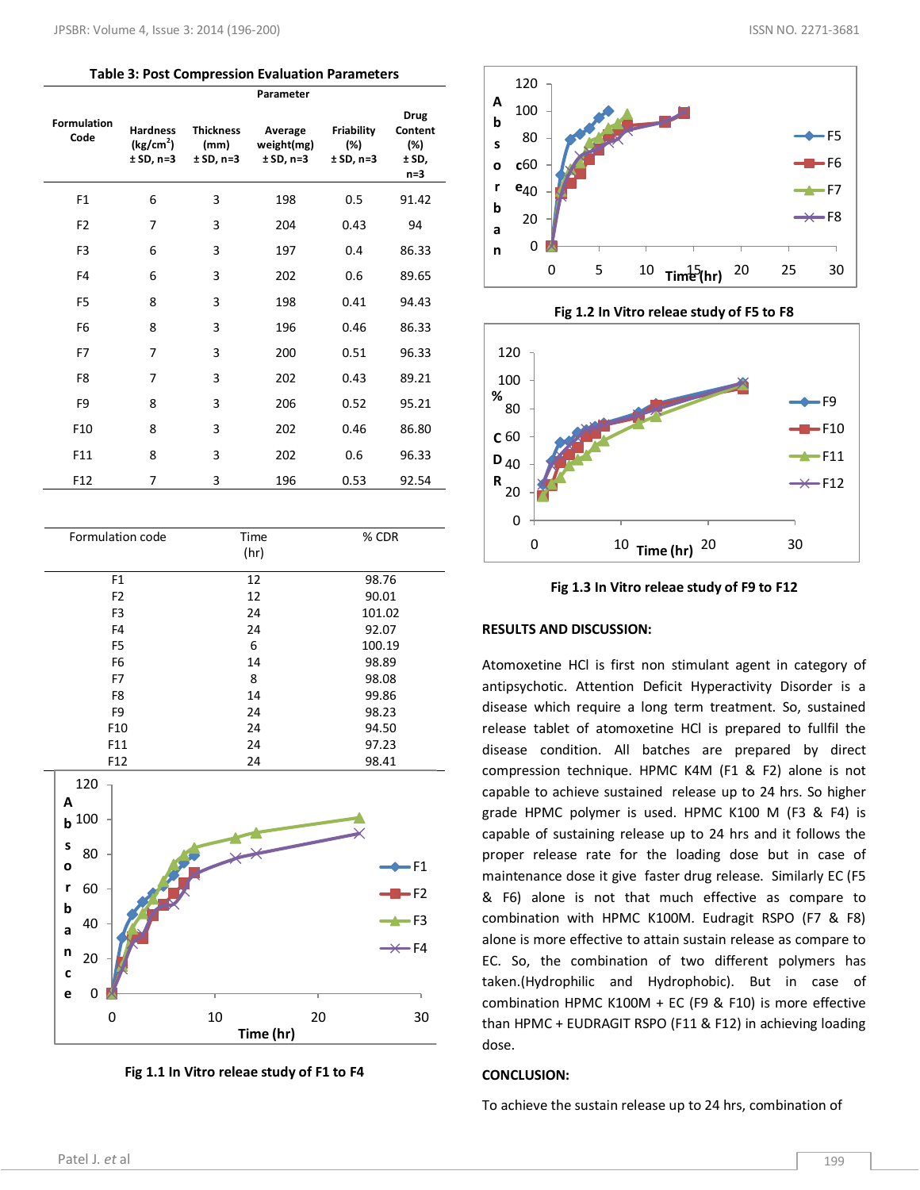#### **Table 3: Post Compression Evaluation Parameters**

|                            |                                                         |                                         | Parameter                            |                                  |                                                |
|----------------------------|---------------------------------------------------------|-----------------------------------------|--------------------------------------|----------------------------------|------------------------------------------------|
| <b>Formulation</b><br>Code | <b>Hardness</b><br>(kg/cm <sup>2</sup> )<br>$± SD, n=3$ | <b>Thickness</b><br>(mm)<br>$± SD, n=3$ | Average<br>weight(mg)<br>$± SD, n=3$ | Friability<br>(%)<br>$± SD, n=3$ | <b>Drug</b><br>Content<br>(%)<br>±SD,<br>$n=3$ |
| F <sub>1</sub>             | 6                                                       | 3                                       | 198                                  | 0.5                              | 91.42                                          |
| F <sub>2</sub>             | 7                                                       | 3                                       | 204                                  | 0.43                             | 94                                             |
| F <sub>3</sub>             | 6                                                       | 3                                       | 197                                  | 0.4                              | 86.33                                          |
| F <sub>4</sub>             | 6                                                       | 3                                       | 202                                  | 0.6                              | 89.65                                          |
| F <sub>5</sub>             | 8                                                       | 3                                       | 198                                  | 0.41                             | 94.43                                          |
| F <sub>6</sub>             | 8                                                       | 3                                       | 196                                  | 0.46                             | 86.33                                          |
| F7                         | 7                                                       | 3                                       | 200                                  | 0.51                             | 96.33                                          |
| F <sub>8</sub>             | 7                                                       | 3                                       | 202                                  | 0.43                             | 89.21                                          |
| F <sub>9</sub>             | 8                                                       | 3                                       | 206                                  | 0.52                             | 95.21                                          |
| F10                        | 8                                                       | 3                                       | 202                                  | 0.46                             | 86.80                                          |
| F11                        | 8                                                       | 3                                       | 202                                  | 0.6                              | 96.33                                          |
| F12                        | 7                                                       | 3                                       | 196                                  | 0.53                             | 92.54                                          |

| Formulation code | Time | % CDR  |
|------------------|------|--------|
|                  | (hr) |        |
| F <sub>1</sub>   | 12   | 98.76  |
| F <sub>2</sub>   | 12   | 90.01  |
| F <sub>3</sub>   | 24   | 101.02 |
| F <sub>4</sub>   | 24   | 92.07  |
| F <sub>5</sub>   | 6    | 100.19 |
| F <sub>6</sub>   | 14   | 98.89  |
| F7               | 8    | 98.08  |
| F <sub>8</sub>   | 14   | 99.86  |
| F <sub>9</sub>   | 24   | 98.23  |
| F <sub>10</sub>  | 24   | 94.50  |
| F11              | 24   | 97.23  |
| F12              | 24   | 98.41  |







**Fig 1.2 In Vitro releae study of F5 to F8**





## **RESULTS AND DISCUSSION:**

Atomoxetine HCl is first non stimulant agent in category of antipsychotic. Attention Deficit Hyperactivity Disorder is a disease which require a long term treatment. So, sustained release tablet of atomoxetine HCl is prepared to fullfil the disease condition. All batches are prepared by direct compression technique. HPMC K4M (F1 & F2) alone is not capable to achieve sustained release up to 24 hrs. So higher grade HPMC polymer is used. HPMC K100 M (F3 & F4) is capable of sustaining release up to 24 hrs and it follows the proper release rate for the loading dose but in case of maintenance dose it give faster drug release. Similarly EC (F5 & F6) alone is not that much effective as compare to combination with HPMC K100M. Eudragit RSPO (F7 & F8) alone is more effective to attain sustain release as compare to EC. So, the combination of two different polymers has taken.(Hydrophilic and Hydrophobic). But in case of combination HPMC K100M + EC (F9 & F10) is more effective than HPMC + EUDRAGIT RSPO (F11 & F12) in achieving loading dose.

#### **CONCLUSION:**

To achieve the sustain release up to 24 hrs, combination of